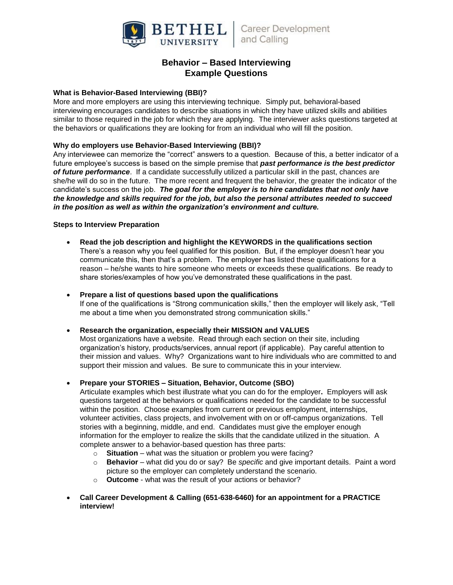

# **Behavior – Based Interviewing Example Questions**

# **What is Behavior-Based Interviewing (BBI)?**

More and more employers are using this interviewing technique. Simply put, behavioral-based interviewing encourages candidates to describe situations in which they have utilized skills and abilities similar to those required in the job for which they are applying. The interviewer asks questions targeted at the behaviors or qualifications they are looking for from an individual who will fill the position.

## **Why do employers use Behavior-Based Interviewing (BBI)?**

Any interviewee can memorize the "correct" answers to a question. Because of this, a better indicator of a future employee's success is based on the simple premise that *past performance is the best predictor of future performance*. If a candidate successfully utilized a particular skill in the past, chances are she/he will do so in the future. The more recent and frequent the behavior, the greater the indicator of the candidate's success on the job. *The goal for the employer is to hire candidates that not only have the knowledge and skills required for the job, but also the personal attributes needed to succeed in the position as well as within the organization's environment and culture.*

### **Steps to Interview Preparation**

- **Read the job description and highlight the KEYWORDS in the qualifications section** There's a reason why you feel qualified for this position. But, if the employer doesn't hear you communicate this, then that's a problem. The employer has listed these qualifications for a reason – he/she wants to hire someone who meets or exceeds these qualifications. Be ready to share stories/examples of how you've demonstrated these qualifications in the past.
- **Prepare a list of questions based upon the qualifications** If one of the qualifications is "Strong communication skills," then the employer will likely ask, "Tell me about a time when you demonstrated strong communication skills."

### **Research the organization, especially their MISSION and VALUES**

Most organizations have a website. Read through each section on their site, including organization's history, products/services, annual report (if applicable). Pay careful attention to their mission and values. Why? Organizations want to hire individuals who are committed to and support their mission and values. Be sure to communicate this in your interview.

**Prepare your STORIES – Situation, Behavior, Outcome (SBO)**

Articulate examples which best illustrate what you can do for the employer**.** Employers will ask questions targeted at the behaviors or qualifications needed for the candidate to be successful within the position. Choose examples from current or previous employment, internships, volunteer activities, class projects, and involvement with on or off-campus organizations.Tell stories with a beginning, middle, and end. Candidates must give the employer enough information for the employer to realize the skills that the candidate utilized in the situation. A complete answer to a behavior-based question has three parts:

- o **Situation** what was the situation or problem you were facing?
- o **Behavior**  what did you do or say? Be *specific* and give important details. Paint a word picture so the employer can completely understand the scenario.
- o **Outcome** what was the result of your actions or behavior?
- **Call Career Development & Calling (651-638-6460) for an appointment for a PRACTICE interview!**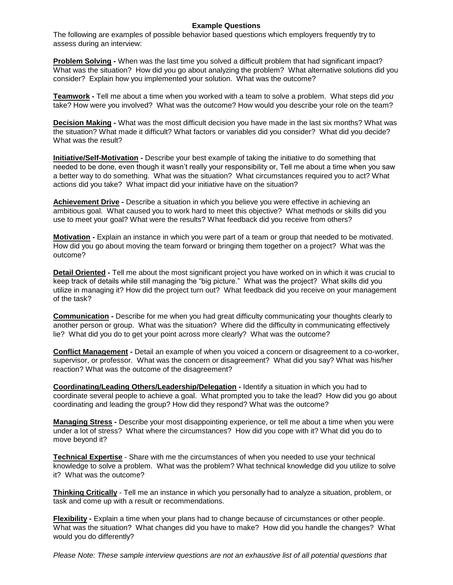## **Example Questions**

The following are examples of possible behavior based questions which employers frequently try to assess during an interview:

**Problem Solving -** When was the last time you solved a difficult problem that had significant impact? What was the situation? How did you go about analyzing the problem? What alternative solutions did you consider? Explain how you implemented your solution. What was the outcome?

**Teamwork -** Tell me about a time when you worked with a team to solve a problem. What steps did *you* take? How were you involved? What was the outcome? How would you describe your role on the team?

**Decision Making -** What was the most difficult decision you have made in the last six months? What was the situation? What made it difficult? What factors or variables did you consider? What did you decide? What was the result?

**Initiative/Self-Motivation -** Describe your best example of taking the initiative to do something that needed to be done, even though it wasn't really your responsibility or, Tell me about a time when you saw a better way to do something. What was the situation? What circumstances required you to act? What actions did you take? What impact did your initiative have on the situation?

**Achievement Drive -** Describe a situation in which you believe you were effective in achieving an ambitious goal. What caused you to work hard to meet this objective? What methods or skills did you use to meet your goal? What were the results? What feedback did you receive from others?

**Motivation -** Explain an instance in which you were part of a team or group that needed to be motivated. How did you go about moving the team forward or bringing them together on a project? What was the outcome?

**Detail Oriented -** Tell me about the most significant project you have worked on in which it was crucial to keep track of details while still managing the "big picture." What was the project? What skills did you utilize in managing it? How did the project turn out? What feedback did you receive on your management of the task?

**Communication -** Describe for me when you had great difficulty communicating your thoughts clearly to another person or group. What was the situation? Where did the difficulty in communicating effectively lie? What did you do to get your point across more clearly? What was the outcome?

**Conflict Management -** Detail an example of when you voiced a concern or disagreement to a co-worker, supervisor, or professor. What was the concern or disagreement? What did you say? What was his/her reaction? What was the outcome of the disagreement?

**Coordinating/Leading Others/Leadership/Delegation -** Identify a situation in which you had to coordinate several people to achieve a goal. What prompted you to take the lead? How did you go about coordinating and leading the group? How did they respond? What was the outcome?

**Managing Stress -** Describe your most disappointing experience, or tell me about a time when you were under a lot of stress? What where the circumstances? How did you cope with it? What did you do to move beyond it?

**Technical Expertise** - Share with me the circumstances of when you needed to use your technical knowledge to solve a problem. What was the problem? What technical knowledge did you utilize to solve it? What was the outcome?

**Thinking Critically** - Tell me an instance in which you personally had to analyze a situation, problem, or task and come up with a result or recommendations.

**Flexibility -** Explain a time when your plans had to change because of circumstances or other people. What was the situation? What changes did you have to make? How did you handle the changes? What would you do differently?

*Please Note: These sample interview questions are not an exhaustive list of all potential questions that*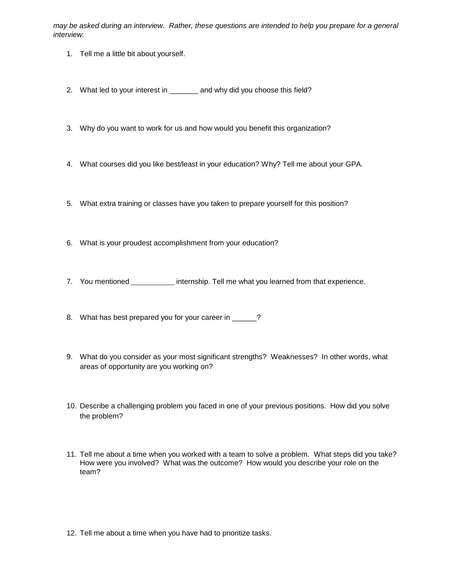*may be asked during an interview. Rather, these questions are intended to help you prepare for a general interview.*

- 1. Tell me a little bit about yourself.
- 2. What led to your interest in \_\_\_\_\_\_\_ and why did you choose this field?
- 3. Why do you want to work for us and how would you benefit this organization?
- 4. What courses did you like best/least in your education? Why? Tell me about your GPA.
- 5. What extra training or classes have you taken to prepare yourself for this position?
- 6. What is your proudest accomplishment from your education?
- 7. You mentioned internship. Tell me what you learned from that experience.
- 8. What has best prepared you for your career in \_\_\_\_\_?
- 9. What do you consider as your most significant strengths? Weaknesses? In other words, what areas of opportunity are you working on?
- 10. Describe a challenging problem you faced in one of your previous positions. How did you solve the problem?
- 11. Tell me about a time when you worked with a team to solve a problem. What steps did you take? How were you involved? What was the outcome? How would you describe your role on the team?
- 12. Tell me about a time when you have had to prioritize tasks.